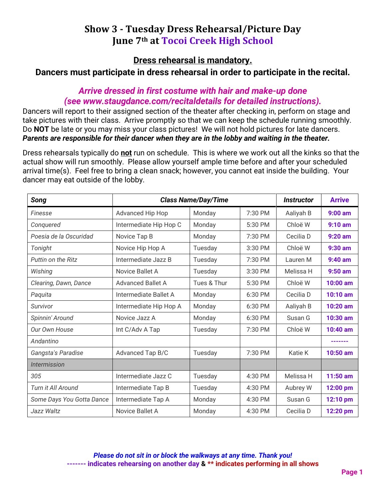# **Show 3 - Tuesday Dress Rehearsal/Picture Day June 7th at Tocoi Creek High School**

**Dress rehearsal is mandatory.** 

**Dancers must participate in dress rehearsal in order to participate in the recital.**

### *Arrive dressed in first costume with hair and make-up done (see www.staugdance.com/recitaldetails for detailed instructions).*

Dancers will report to their assigned section of the theater after checking in, perform on stage and take pictures with their class. Arrive promptly so that we can keep the schedule running smoothly. Do **NOT** be late or you may miss your class pictures! We will not hold pictures for late dancers. *Parents are responsible for their dancer when they are in the lobby and waiting in the theater.* 

Dress rehearsals typically do **not** run on schedule. This is where we work out all the kinks so that the actual show will run smoothly. Please allow yourself ample time before and after your scheduled arrival time(s). Feel free to bring a clean snack; however, you cannot eat inside the building. Your dancer may eat outside of the lobby.

| Song                              | <b>Class Name/Day/Time</b> |             |         | <i><u><b>Instructor</b></u></i> | <b>Arrive</b> |
|-----------------------------------|----------------------------|-------------|---------|---------------------------------|---------------|
| Finesse                           | Advanced Hip Hop           | Monday      | 7:30 PM | Aaliyah B                       | $9:00$ am     |
| Conquered                         | Intermediate Hip Hop C     | Monday      | 5:30 PM | Chloë W                         | $9:10$ am     |
| Poesia de la Oscuridad            | Novice Tap B               | Monday      | 7:30 PM | Cecilia D                       | $9:20$ am     |
| Tonight                           | Novice Hip Hop A           | Tuesday     | 3:30 PM | Chloë W                         | $9:30$ am     |
| Puttin on the Ritz                | Intermediate Jazz B        | Tuesday     | 7:30 PM | Lauren M                        | $9:40$ am     |
| Wishing                           | Novice Ballet A            | Tuesday     | 3:30 PM | Melissa H                       | $9:50$ am     |
| Clearing, Dawn, Dance             | <b>Advanced Ballet A</b>   | Tues & Thur | 5:30 PM | Chloë W                         | 10:00 am      |
| Paguita                           | Intermediate Ballet A      | Monday      | 6:30 PM | Cecilia D                       | 10:10 am      |
| Survivor                          | Intermediate Hip Hop A     | Monday      | 6:30 PM | Aaliyah B                       | 10:20 am      |
| Spinnin' Around                   | Novice Jazz A              | Monday      | 6:30 PM | Susan G                         | 10:30 am      |
| Our Own House                     | Int C/Adv A Tap            | Tuesday     | 7:30 PM | Chloë W                         | 10:40 am      |
| Andantino                         |                            |             |         |                                 |               |
| Gangsta's Paradise                | Advanced Tap B/C           | Tuesday     | 7:30 PM | Katie K                         | 10:50 am      |
| <i><u><b>Intermission</b></u></i> |                            |             |         |                                 |               |
| 305                               | Intermediate Jazz C        | Tuesday     | 4:30 PM | Melissa H                       | 11:50 am      |
| Turn it All Around                | Intermediate Tap B         | Tuesday     | 4:30 PM | Aubrey W                        | 12:00 pm      |
| Some Days You Gotta Dance         | Intermediate Tap A         | Monday      | 4:30 PM | Susan G                         | 12:10 pm      |
| Jazz Waltz                        | Novice Ballet A            | Monday      | 4:30 PM | Cecilia D                       | 12:20 pm      |